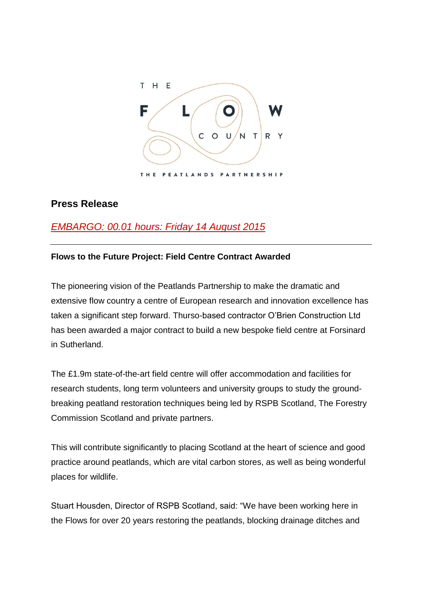

## **Press Release**

# *EMBARGO: 00.01 hours: Friday 14 August 2015*

### **Flows to the Future Project: Field Centre Contract Awarded**

The pioneering vision of the Peatlands Partnership to make the dramatic and extensive flow country a centre of European research and innovation excellence has taken a significant step forward. Thurso-based contractor O'Brien Construction Ltd has been awarded a major contract to build a new bespoke field centre at Forsinard in Sutherland.

The £1.9m state-of-the-art field centre will offer accommodation and facilities for research students, long term volunteers and university groups to study the groundbreaking peatland restoration techniques being led by RSPB Scotland, The Forestry Commission Scotland and private partners.

This will contribute significantly to placing Scotland at the heart of science and good practice around peatlands, which are vital carbon stores, as well as being wonderful places for wildlife.

Stuart Housden, Director of RSPB Scotland, said: "We have been working here in the Flows for over 20 years restoring the peatlands, blocking drainage ditches and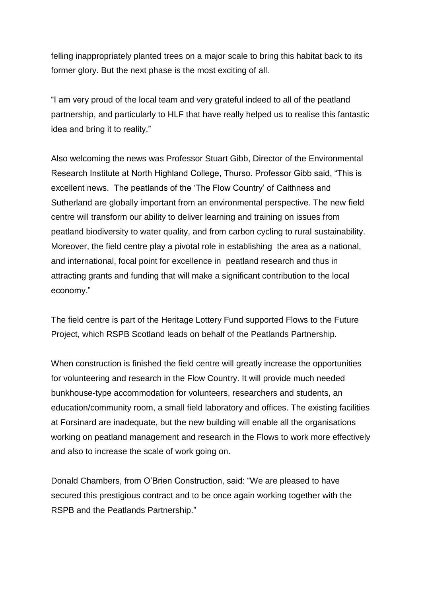felling inappropriately planted trees on a major scale to bring this habitat back to its former glory. But the next phase is the most exciting of all.

"I am very proud of the local team and very grateful indeed to all of the peatland partnership, and particularly to HLF that have really helped us to realise this fantastic idea and bring it to reality."

Also welcoming the news was Professor Stuart Gibb, Director of the Environmental Research Institute at North Highland College, Thurso. Professor Gibb said, "This is excellent news. The peatlands of the 'The Flow Country' of Caithness and Sutherland are globally important from an environmental perspective. The new field centre will transform our ability to deliver learning and training on issues from peatland biodiversity to water quality, and from carbon cycling to rural sustainability. Moreover, the field centre play a pivotal role in establishing the area as a national, and international, focal point for excellence in peatland research and thus in attracting grants and funding that will make a significant contribution to the local economy."

The field centre is part of the Heritage Lottery Fund supported Flows to the Future Project, which RSPB Scotland leads on behalf of the Peatlands Partnership.

When construction is finished the field centre will greatly increase the opportunities for volunteering and research in the Flow Country. It will provide much needed bunkhouse-type accommodation for volunteers, researchers and students, an education/community room, a small field laboratory and offices. The existing facilities at Forsinard are inadequate, but the new building will enable all the organisations working on peatland management and research in the Flows to work more effectively and also to increase the scale of work going on.

Donald Chambers, from O'Brien Construction, said: "We are pleased to have secured this prestigious contract and to be once again working together with the RSPB and the Peatlands Partnership."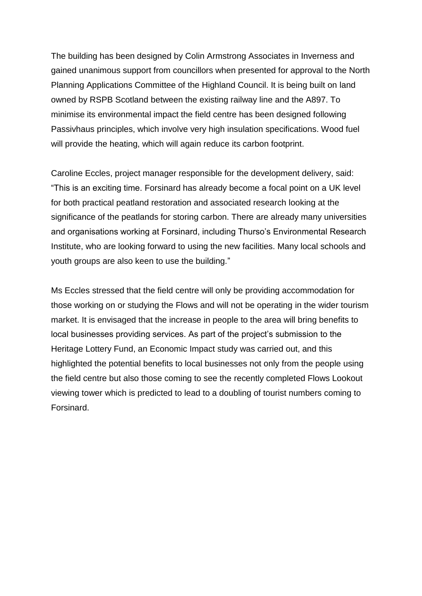The building has been designed by Colin Armstrong Associates in Inverness and gained unanimous support from councillors when presented for approval to the North Planning Applications Committee of the Highland Council. It is being built on land owned by RSPB Scotland between the existing railway line and the A897. To minimise its environmental impact the field centre has been designed following Passivhaus principles, which involve very high insulation specifications. Wood fuel will provide the heating, which will again reduce its carbon footprint.

Caroline Eccles, project manager responsible for the development delivery, said: "This is an exciting time. Forsinard has already become a focal point on a UK level for both practical peatland restoration and associated research looking at the significance of the peatlands for storing carbon. There are already many universities and organisations working at Forsinard, including Thurso's Environmental Research Institute, who are looking forward to using the new facilities. Many local schools and youth groups are also keen to use the building."

Ms Eccles stressed that the field centre will only be providing accommodation for those working on or studying the Flows and will not be operating in the wider tourism market. It is envisaged that the increase in people to the area will bring benefits to local businesses providing services. As part of the project's submission to the Heritage Lottery Fund, an Economic Impact study was carried out, and this highlighted the potential benefits to local businesses not only from the people using the field centre but also those coming to see the recently completed Flows Lookout viewing tower which is predicted to lead to a doubling of tourist numbers coming to Forsinard.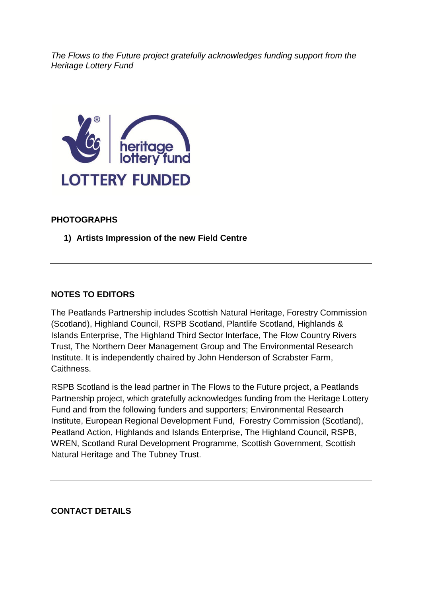*The Flows to the Future project gratefully acknowledges funding support from the Heritage Lottery Fund* 



## **PHOTOGRAPHS**

**1) Artists Impression of the new Field Centre**

#### **NOTES TO EDITORS**

The Peatlands Partnership includes Scottish Natural Heritage, Forestry Commission (Scotland), Highland Council, RSPB Scotland, Plantlife Scotland, Highlands & Islands Enterprise, The Highland Third Sector Interface, The Flow Country Rivers Trust, The Northern Deer Management Group and The Environmental Research Institute. It is independently chaired by John Henderson of Scrabster Farm, Caithness.

RSPB Scotland is the lead partner in The Flows to the Future project, a Peatlands Partnership project, which gratefully acknowledges funding from the Heritage Lottery Fund and from the following funders and supporters; Environmental Research Institute, European Regional Development Fund, Forestry Commission (Scotland), Peatland Action, Highlands and Islands Enterprise, The Highland Council, RSPB, WREN, Scotland Rural Development Programme, Scottish Government, Scottish Natural Heritage and The Tubney Trust.

#### **CONTACT DETAILS**